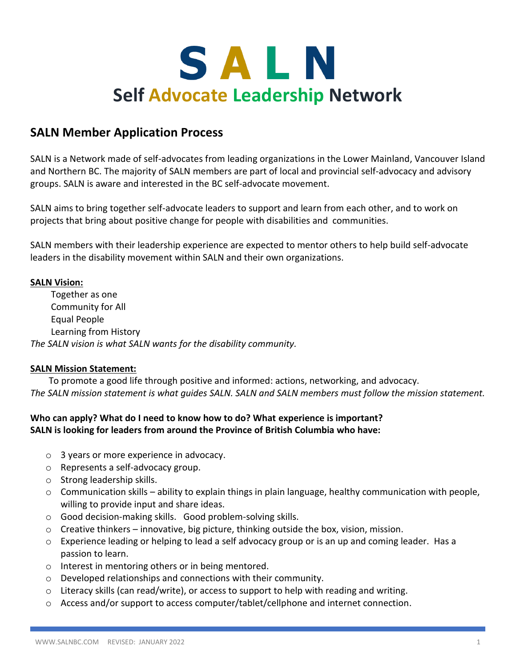

## **SALN Member Application Process**

SALN is a Network made of self-advocates from leading organizations in the Lower Mainland, Vancouver Island and Northern BC. The majority of SALN members are part of local and provincial self-advocacy and advisory groups. SALN is aware and interested in the BC self-advocate movement.

SALN aims to bring together self-advocate leaders to support and learn from each other, and to work on projects that bring about positive change for people with disabilities and communities.

SALN members with their leadership experience are expected to mentor others to help build self-advocate leaders in the disability movement within SALN and their own organizations.

#### **SALN Vision:**

Together as one Community for All Equal People Learning from History *The SALN vision is what SALN wants for the disability community.*

#### **SALN Mission Statement:**

To promote a good life through positive and informed: actions, networking, and advocacy. *The SALN mission statement is what guides SALN. SALN and SALN members must follow the mission statement.*

#### **Who can apply? What do I need to know how to do? What experience is important? SALN is looking for leaders from around the Province of British Columbia who have:**

- o 3 years or more experience in advocacy.
- o Represents a self-advocacy group.
- o Strong leadership skills.
- $\circ$  Communication skills ability to explain things in plain language, healthy communication with people, willing to provide input and share ideas.
- o Good decision-making skills. Good problem-solving skills.
- $\circ$  Creative thinkers innovative, big picture, thinking outside the box, vision, mission.
- o Experience leading or helping to lead a self advocacy group or is an up and coming leader. Has a passion to learn.
- o Interest in mentoring others or in being mentored.
- o Developed relationships and connections with their community.
- $\circ$  Literacy skills (can read/write), or access to support to help with reading and writing.
- $\circ$  Access and/or support to access computer/tablet/cellphone and internet connection.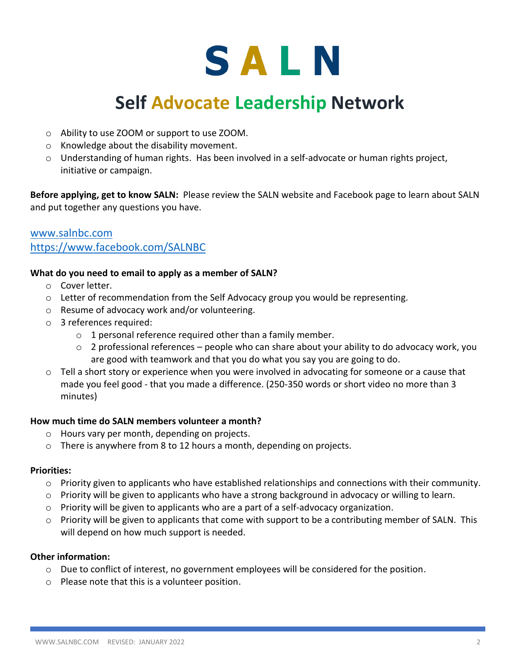# SALN

# **Self Advocate Leadership Network**

- o Ability to use ZOOM or support to use ZOOM.
- o Knowledge about the disability movement.
- $\circ$  Understanding of human rights. Has been involved in a self-advocate or human rights project, initiative or campaign.

**Before applying, get to know SALN:** Please review the SALN website and Facebook page to learn about SALN and put together any questions you have.

### [www.salnbc.com](http://www.salnbc.com/) <https://www.facebook.com/SALNBC>

#### **What do you need to email to apply as a member of SALN?**

- o Cover letter.
- o Letter of recommendation from the Self Advocacy group you would be representing.
- o Resume of advocacy work and/or volunteering.
- o 3 references required:
	- $\circ$  1 personal reference required other than a family member.
	- $\circ$  2 professional references people who can share about your ability to do advocacy work, you are good with teamwork and that you do what you say you are going to do.
- $\circ$  Tell a short story or experience when you were involved in advocating for someone or a cause that made you feel good - that you made a difference. (250-350 words or short video no more than 3 minutes)

#### **How much time do SALN members volunteer a month?**

- o Hours vary per month, depending on projects.
- o There is anywhere from 8 to 12 hours a month, depending on projects.

#### **Priorities:**

- $\circ$  Priority given to applicants who have established relationships and connections with their community.
- $\circ$  Priority will be given to applicants who have a strong background in advocacy or willing to learn.
- $\circ$  Priority will be given to applicants who are a part of a self-advocacy organization.
- $\circ$  Priority will be given to applicants that come with support to be a contributing member of SALN. This will depend on how much support is needed.

#### **Other information:**

- o Due to conflict of interest, no government employees will be considered for the position.
- o Please note that this is a volunteer position.